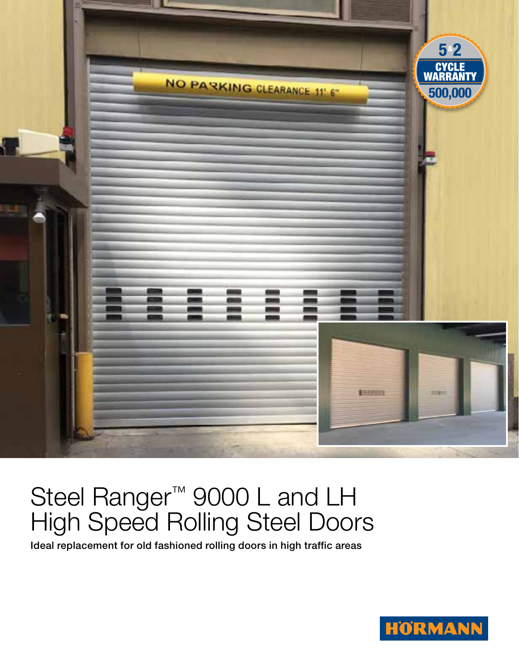

## Steel Ranger<sup>™</sup> 9000 L and LH High Speed Rolling Steel Doors

Ideal replacement for old fashioned rolling doors in high traffic areas